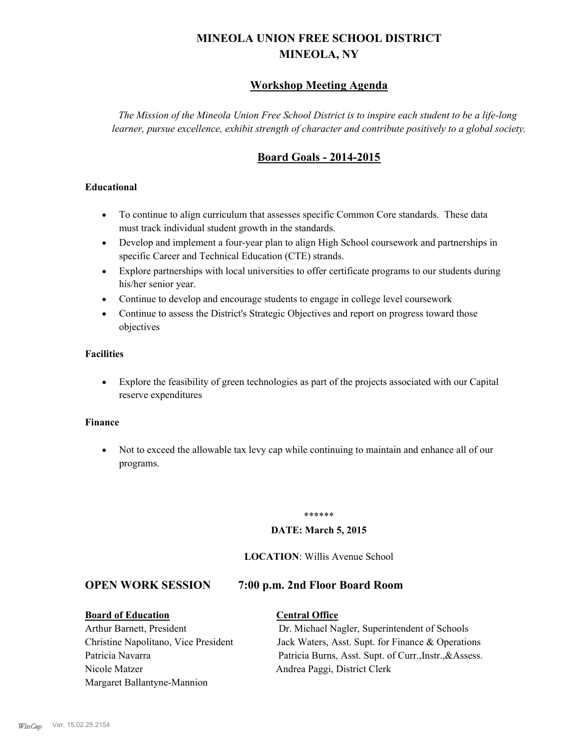# **MINEOLA UNION FREE SCHOOL DISTRICT MINEOLA, NY**

## **Workshop Meeting Agenda**

*The Mission of the Mineola Union Free School District is to inspire each student to be a life-long learner, pursue excellence, exhibit strength of character and contribute positively to a global society.*

## **Board Goals - 2014-2015**

## **Educational**

- · To continue to align curriculum that assesses specific Common Core standards. These data must track individual student growth in the standards.
- · Develop and implement a four-year plan to align High School coursework and partnerships in specific Career and Technical Education (CTE) strands.
- · Explore partnerships with local universities to offer certificate programs to our students during his/her senior year.
- · Continue to develop and encourage students to engage in college level coursework
- Continue to assess the District's Strategic Objectives and report on progress toward those objectives

## **Facilities**

· Explore the feasibility of green technologies as part of the projects associated with our Capital reserve expenditures

### **Finance**

· Not to exceed the allowable tax levy cap while continuing to maintain and enhance all of our programs.

#### \*\*\*\*\*\*

## **DATE: March 5, 2015**

## **LOCATION**: Willis Avenue School

## **OPEN WORK SESSION 7:00 p.m. 2nd Floor Board Room**

## **Board of Education Central Office**

Nicole Matzer Andrea Paggi, District Clerk Margaret Ballantyne-Mannion

Arthur Barnett, President Dr. Michael Nagler, Superintendent of Schools Christine Napolitano, Vice President Jack Waters, Asst. Supt. for Finance & Operations Patricia Navarra Patricia Burns, Asst. Supt. of Curr., Instr., &Assess.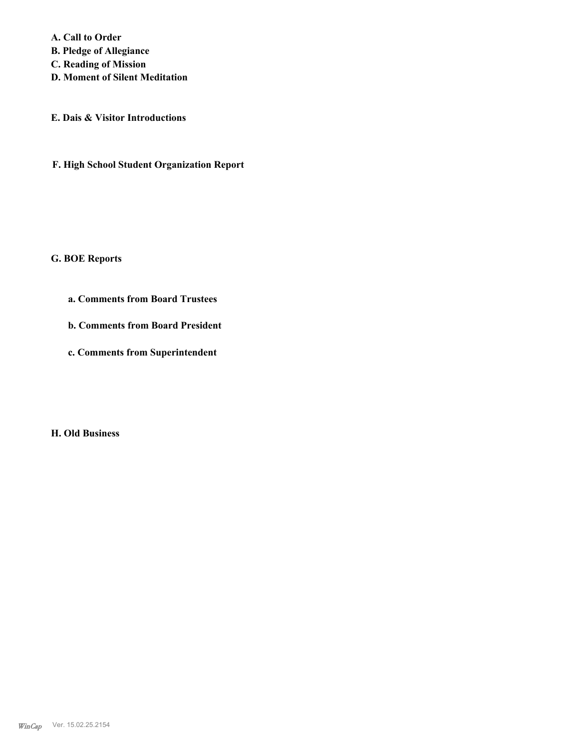**A. Call to Order** 

**B. Pledge of Allegiance**

**C. Reading of Mission**

**D. Moment of Silent Meditation**

**E. Dais & Visitor Introductions**

**F. High School Student Organization Report**

## **G. BOE Reports**

- **a. Comments from Board Trustees**
- **b. Comments from Board President**
- **c. Comments from Superintendent**

**H. Old Business**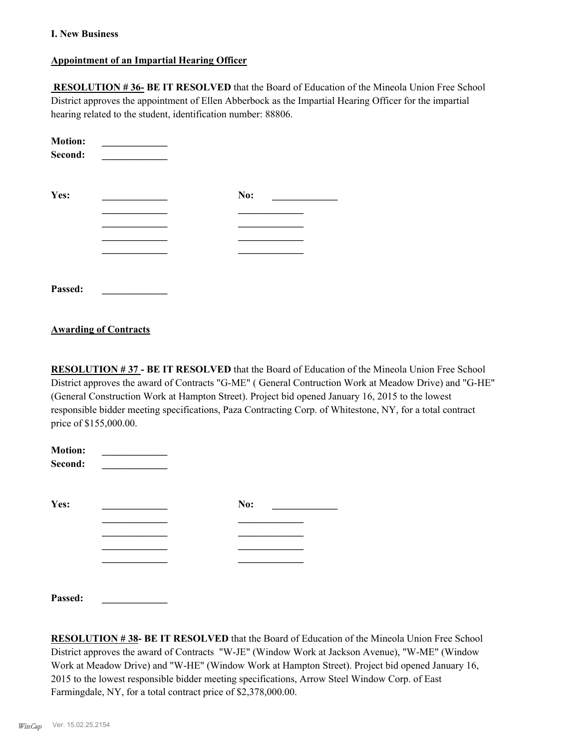## **I. New Business**

## **Appointment of an Impartial Hearing Officer**

 **RESOLUTION # 36- BE IT RESOLVED** that the Board of Education of the Mineola Union Free School District approves the appointment of Ellen Abberbock as the Impartial Hearing Officer for the impartial hearing related to the student, identification number: 88806.

| <b>Motion:</b><br>Second: |     |  |
|---------------------------|-----|--|
| Yes:                      | No: |  |
|                           |     |  |
|                           |     |  |
|                           |     |  |
|                           |     |  |
| Passed:                   |     |  |

## **Awarding of Contracts**

**RESOLUTION # 37 - BE IT RESOLVED** that the Board of Education of the Mineola Union Free School District approves the award of Contracts "G-ME" ( General Contruction Work at Meadow Drive) and "G-HE" (General Construction Work at Hampton Street). Project bid opened January 16, 2015 to the lowest responsible bidder meeting specifications, Paza Contracting Corp. of Whitestone, NY, for a total contract price of \$155,000.00.

| <b>Motion:</b><br>Second: |     |  |
|---------------------------|-----|--|
| Yes:                      | No: |  |
|                           |     |  |
|                           |     |  |
|                           |     |  |
|                           |     |  |
| Passed:                   |     |  |

**RESOLUTION # 38- BE IT RESOLVED** that the Board of Education of the Mineola Union Free School District approves the award of Contracts "W-JE" (Window Work at Jackson Avenue), "W-ME" (Window Work at Meadow Drive) and "W-HE" (Window Work at Hampton Street). Project bid opened January 16, 2015 to the lowest responsible bidder meeting specifications, Arrow Steel Window Corp. of East Farmingdale, NY, for a total contract price of \$2,378,000.00.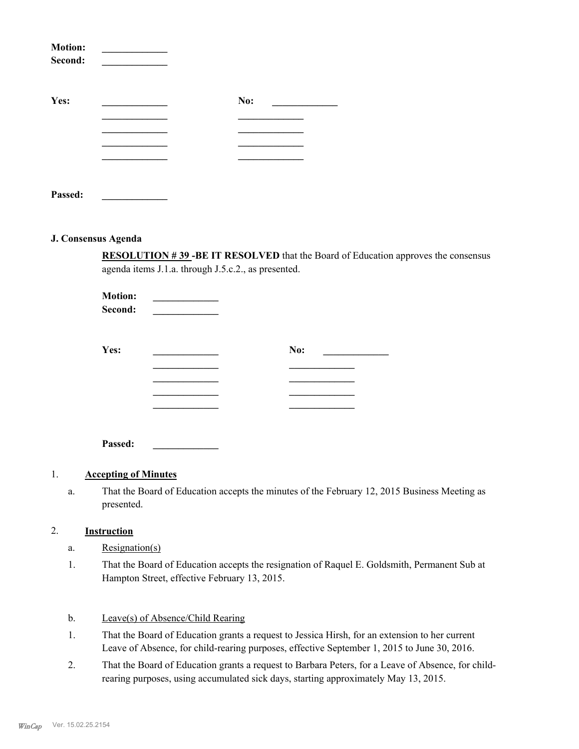| <b>Motion:</b><br>Second: |     |  |
|---------------------------|-----|--|
| Yes:                      | No: |  |
|                           |     |  |
|                           |     |  |
|                           |     |  |
|                           |     |  |
| Passed:                   |     |  |

#### **J. Consensus Agenda**

**RESOLUTION # 39 -BE IT RESOLVED** that the Board of Education approves the consensus agenda items J.1.a. through J.5.c.2., as presented.

| <b>Motion:</b><br>Second: |     |
|---------------------------|-----|
| Yes:                      | No: |
|                           |     |
|                           |     |

**Passed: \_\_\_\_\_\_\_\_\_\_\_\_\_**

## 1. **Accepting of Minutes**

That the Board of Education accepts the minutes of the February 12, 2015 Business Meeting as presented. a.

## 2. **Instruction**

- a. Resignation(s)
- That the Board of Education accepts the resignation of Raquel E. Goldsmith, Permanent Sub at Hampton Street, effective February 13, 2015. 1.

## b. Leave(s) of Absence/Child Rearing

- That the Board of Education grants a request to Jessica Hirsh, for an extension to her current Leave of Absence, for child-rearing purposes, effective September 1, 2015 to June 30, 2016. 1.
- That the Board of Education grants a request to Barbara Peters, for a Leave of Absence, for childrearing purposes, using accumulated sick days, starting approximately May 13, 2015. 2.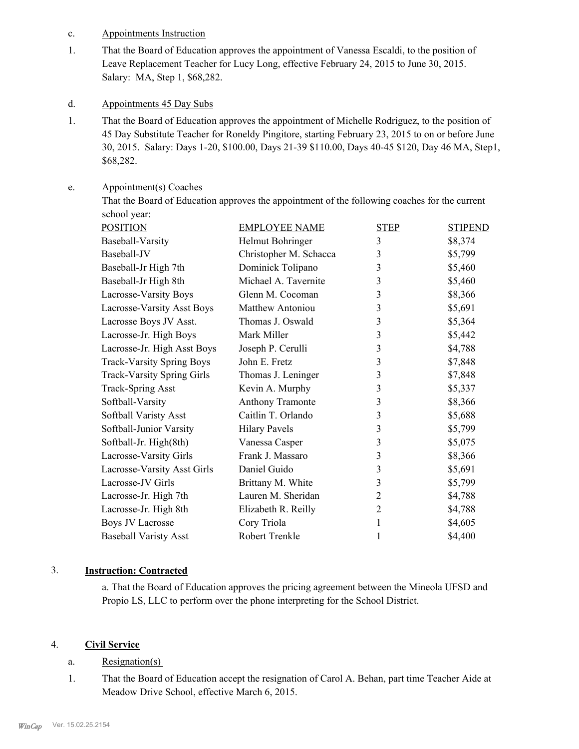- c. Appointments Instruction
- That the Board of Education approves the appointment of Vanessa Escaldi, to the position of Leave Replacement Teacher for Lucy Long, effective February 24, 2015 to June 30, 2015. Salary: MA, Step 1, \$68,282. 1.
- d. Appointments 45 Day Subs
- That the Board of Education approves the appointment of Michelle Rodriguez, to the position of 45 Day Substitute Teacher for Roneldy Pingitore, starting February 23, 2015 to on or before June 30, 2015. Salary: Days 1-20, \$100.00, Days 21-39 \$110.00, Days 40-45 \$120, Day 46 MA, Step1, \$68,282. 1.

#### Appointment(s) Coaches e.

That the Board of Education approves the appointment of the following coaches for the current school year:

| <b>POSITION</b>                   | <b>EMPLOYEE NAME</b>   | <b>STEP</b>    | <b>STIPEND</b> |
|-----------------------------------|------------------------|----------------|----------------|
| Baseball-Varsity                  | Helmut Bohringer       | 3              | \$8,374        |
| Baseball-JV                       | Christopher M. Schacca | 3              | \$5,799        |
| Baseball-Jr High 7th              | Dominick Tolipano      | 3              | \$5,460        |
| Baseball-Jr High 8th              | Michael A. Tavernite   | 3              | \$5,460        |
| Lacrosse-Varsity Boys             | Glenn M. Cocoman       | 3              | \$8,366        |
| Lacrosse-Varsity Asst Boys        | Matthew Antoniou       | 3              | \$5,691        |
| Lacrosse Boys JV Asst.            | Thomas J. Oswald       | 3              | \$5,364        |
| Lacrosse-Jr. High Boys            | Mark Miller            | 3              | \$5,442        |
| Lacrosse-Jr. High Asst Boys       | Joseph P. Cerulli      | 3              | \$4,788        |
| <b>Track-Varsity Spring Boys</b>  | John E. Fretz          | 3              | \$7,848        |
| <b>Track-Varsity Spring Girls</b> | Thomas J. Leninger     | 3              | \$7,848        |
| <b>Track-Spring Asst</b>          | Kevin A. Murphy        | 3              | \$5,337        |
| Softball-Varsity                  | Anthony Tramonte       | 3              | \$8,366        |
| Softball Varisty Asst             | Caitlin T. Orlando     | 3              | \$5,688        |
| Softball-Junior Varsity           | <b>Hilary Pavels</b>   | 3              | \$5,799        |
| Softball-Jr. High(8th)            | Vanessa Casper         | 3              | \$5,075        |
| Lacrosse-Varsity Girls            | Frank J. Massaro       | 3              | \$8,366        |
| Lacrosse-Varsity Asst Girls       | Daniel Guido           | 3              | \$5,691        |
| Lacrosse-JV Girls                 | Brittany M. White      | 3              | \$5,799        |
| Lacrosse-Jr. High 7th             | Lauren M. Sheridan     | 2              | \$4,788        |
| Lacrosse-Jr. High 8th             | Elizabeth R. Reilly    | $\overline{2}$ | \$4,788        |
| <b>Boys JV Lacrosse</b>           | Cory Triola            | 1              | \$4,605        |
| <b>Baseball Varisty Asst</b>      | Robert Trenkle         | 1              | \$4,400        |
|                                   |                        |                |                |

## 3. **Instruction: Contracted**

a. That the Board of Education approves the pricing agreement between the Mineola UFSD and Propio LS, LLC to perform over the phone interpreting for the School District.

## 4. **Civil Service**

- a. Resignation(s)
- That the Board of Education accept the resignation of Carol A. Behan, part time Teacher Aide at Meadow Drive School, effective March 6, 2015. 1.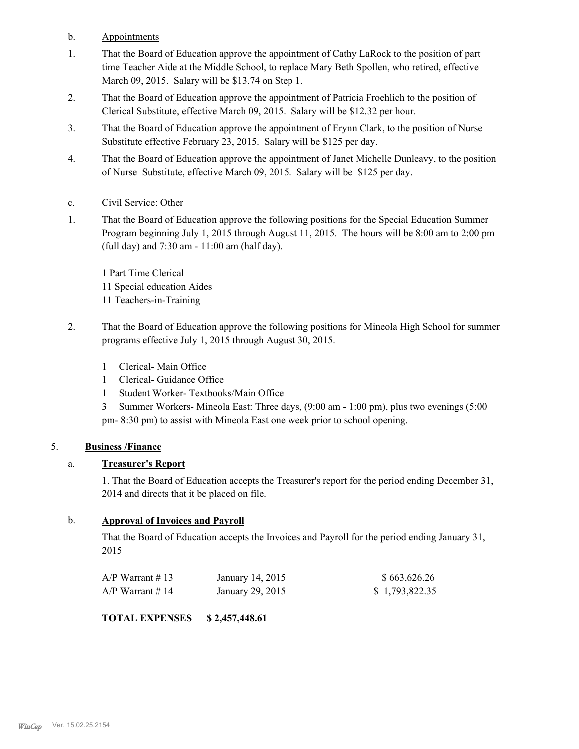- b. Appointments
- That the Board of Education approve the appointment of Cathy LaRock to the position of part time Teacher Aide at the Middle School, to replace Mary Beth Spollen, who retired, effective March 09, 2015. Salary will be \$13.74 on Step 1. 1.
- That the Board of Education approve the appointment of Patricia Froehlich to the position of Clerical Substitute, effective March 09, 2015. Salary will be \$12.32 per hour. 2.
- That the Board of Education approve the appointment of Erynn Clark, to the position of Nurse Substitute effective February 23, 2015. Salary will be \$125 per day. 3.
- That the Board of Education approve the appointment of Janet Michelle Dunleavy, to the position of Nurse Substitute, effective March 09, 2015. Salary will be \$125 per day. 4.
- c. Civil Service: Other
- That the Board of Education approve the following positions for the Special Education Summer Program beginning July 1, 2015 through August 11, 2015. The hours will be 8:00 am to 2:00 pm (full day) and 7:30 am - 11:00 am (half day). 1.

1 Part Time Clerical 11 Special education Aides 11 Teachers-in-Training

- That the Board of Education approve the following positions for Mineola High School for summer programs effective July 1, 2015 through August 30, 2015. 2.
	- 1 Clerical- Main Office
	- 1 Clerical- Guidance Office
	- 1 Student Worker- Textbooks/Main Office
	- 3 Summer Workers- Mineola East: Three days, (9:00 am 1:00 pm), plus two evenings (5:00 pm- 8:30 pm) to assist with Mineola East one week prior to school opening.

## 5. **Business /Finance**

## a. **Treasurer's Report**

1. That the Board of Education accepts the Treasurer's report for the period ending December 31, 2014 and directs that it be placed on file.

## b. **Approval of Invoices and Payroll**

That the Board of Education accepts the Invoices and Payroll for the period ending January 31, 2015

| $A/P$ Warrant #13 | January 14, 2015 | \$663,626.26   |
|-------------------|------------------|----------------|
| $A/P$ Warrant #14 | January 29, 2015 | \$1,793,822.35 |

**TOTAL EXPENSES \$ 2,457,448.61**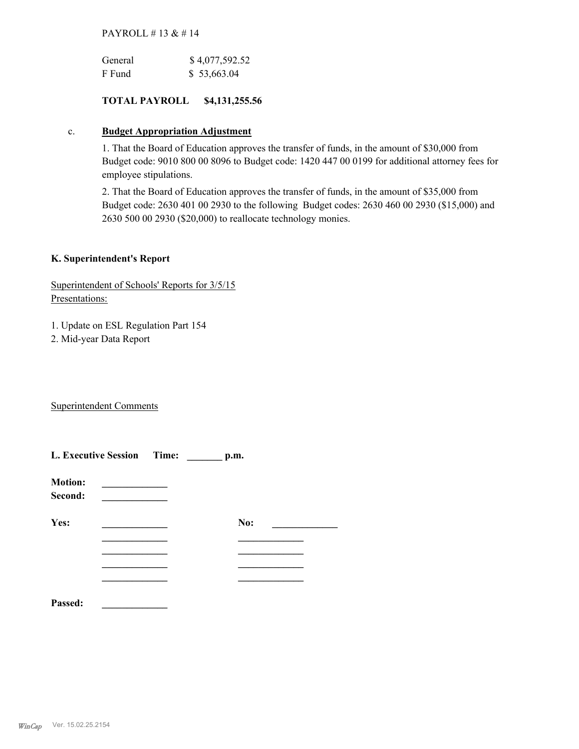## PAYROLL # 13 & # 14

| General | \$4,077,592.52 |
|---------|----------------|
| F Fund  | \$53,663.04    |

## **TOTAL PAYROLL \$4,131,255.56**

## c. **Budget Appropriation Adjustment**

1. That the Board of Education approves the transfer of funds, in the amount of \$30,000 from Budget code: 9010 800 00 8096 to Budget code: 1420 447 00 0199 for additional attorney fees for employee stipulations.

2. That the Board of Education approves the transfer of funds, in the amount of \$35,000 from Budget code: 2630 401 00 2930 to the following Budget codes: 2630 460 00 2930 (\$15,000) and 2630 500 00 2930 (\$20,000) to reallocate technology monies.

## **K. Superintendent's Report**

Superintendent of Schools' Reports for 3/5/15 Presentations:

1. Update on ESL Regulation Part 154

2. Mid-year Data Report

Superintendent Comments

|                           | L. Executive Session Time: _______ p.m. |     |  |
|---------------------------|-----------------------------------------|-----|--|
| <b>Motion:</b><br>Second: |                                         |     |  |
| Yes:                      |                                         | No: |  |
|                           |                                         |     |  |
|                           |                                         |     |  |
|                           |                                         |     |  |
| Passed:                   |                                         |     |  |